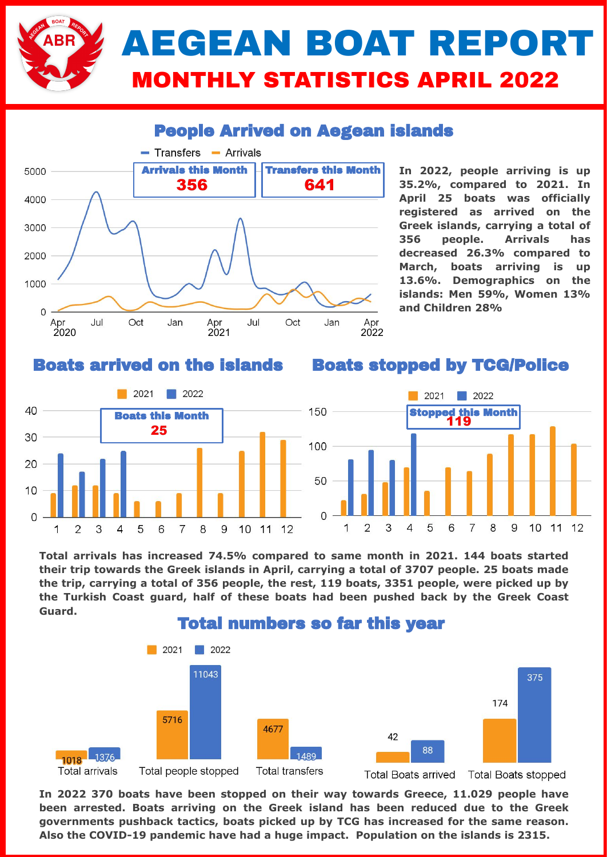

### People Arrived on Aegean islands



**In 2022, people arriving is up 35.2%, compared to 2021. In April 25 boats was officially registered as arrived on the Greek islands, carrying a total of 356 people. Arrivals has decreased 26.3% compared to March, boats arriving is up 13.6%. Demographics on the islands: Men 59%, Women 13% and Children 28%**

#### Boats arrived on the islands

#### Boats stopped by TCG/Police



**Total arrivals has increased 74.5% compared to same month in 2021. 144 boats started their trip towards the Greek islands in April, carrying a total of 3707 people. 25 boats made the trip, carrying a total of 356 people, the rest, 119 boats, 3351 people, were picked up by the Turkish Coast guard, half of these boats had been pushed back by the Greek Coast Guard.** 



**In 2022 370 boats have been stopped on their way towards Greece, 11.029 people have been arrested. Boats arriving on the Greek island has been reduced due to the Greek governments pushback tactics, boats picked up by TCG has increased for the same reason. Also the COVID-19 pandemic have had a huge impact. Population on the islands is 2315.**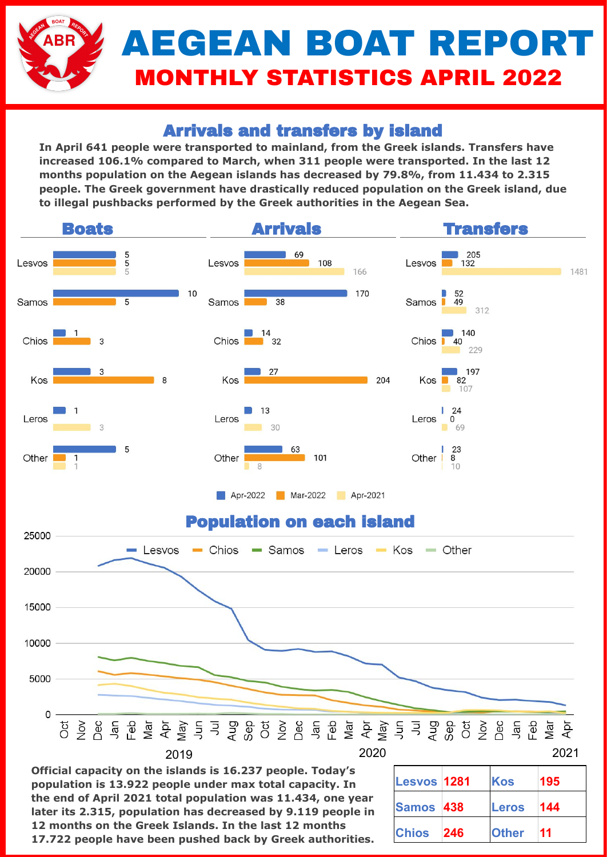# AEGEAN BOAT REPORT MONTHLY STATISTICS APRIL 2022

## Arrivals and transfers by island

**In April 641 people were transported to mainland, from the Greek islands. Transfers have increased 106.1% compared to March, when 311 people were transported. In the last 12 months population on the Aegean islands has decreased by 79.8%, from 11.434 to 2.315 people. The Greek government have drastically reduced population on the Greek island, due to illegal pushbacks performed by the Greek authorities in the Aegean Sea.** 



**Official capacity on the islands is 16.237 people. Today's population is 13.922 people under max total capacity. In the end of April 2021 total population was 11.434, one year later its 2.315, population has decreased by 9.119 people in 12 months on the Greek Islands. In the last 12 months 17.722 people have been pushed back by Greek authorities.**

| Lesvos 1281  |     | Kos          | 195 |
|--------------|-----|--------------|-----|
| Samos 438    |     | <b>Leros</b> | 144 |
| <b>Chios</b> | 246 | <b>Other</b> | 11  |